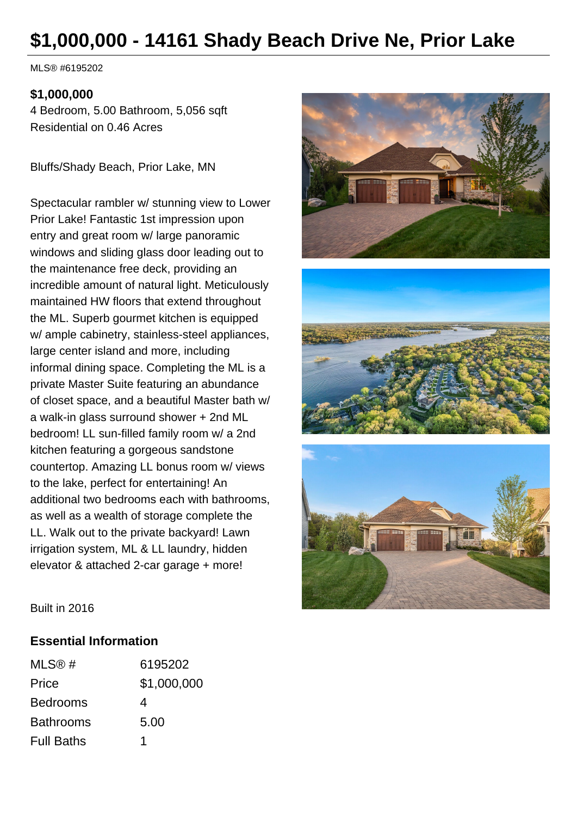# **\$1,000,000 - 14161 Shady Beach Drive Ne, Prior Lake**

MLS® #6195202

#### **\$1,000,000**

4 Bedroom, 5.00 Bathroom, 5,056 sqft Residential on 0.46 Acres

Bluffs/Shady Beach, Prior Lake, MN

Spectacular rambler w/ stunning view to Lower Prior Lake! Fantastic 1st impression upon entry and great room w/ large panoramic windows and sliding glass door leading out to the maintenance free deck, providing an incredible amount of natural light. Meticulously maintained HW floors that extend throughout the ML. Superb gourmet kitchen is equipped w/ ample cabinetry, stainless-steel appliances, large center island and more, including informal dining space. Completing the ML is a private Master Suite featuring an abundance of closet space, and a beautiful Master bath w/ a walk-in glass surround shower + 2nd ML bedroom! LL sun-filled family room w/ a 2nd kitchen featuring a gorgeous sandstone countertop. Amazing LL bonus room w/ views to the lake, perfect for entertaining! An additional two bedrooms each with bathrooms, as well as a wealth of storage complete the LL. Walk out to the private backyard! Lawn irrigation system, ML & LL laundry, hidden elevator & attached 2-car garage + more!







Built in 2016

#### **Essential Information**

| MLS@#             | 6195202     |
|-------------------|-------------|
| Price             | \$1,000,000 |
| <b>Bedrooms</b>   | 4           |
| <b>Bathrooms</b>  | 5.00        |
| <b>Full Baths</b> | 1           |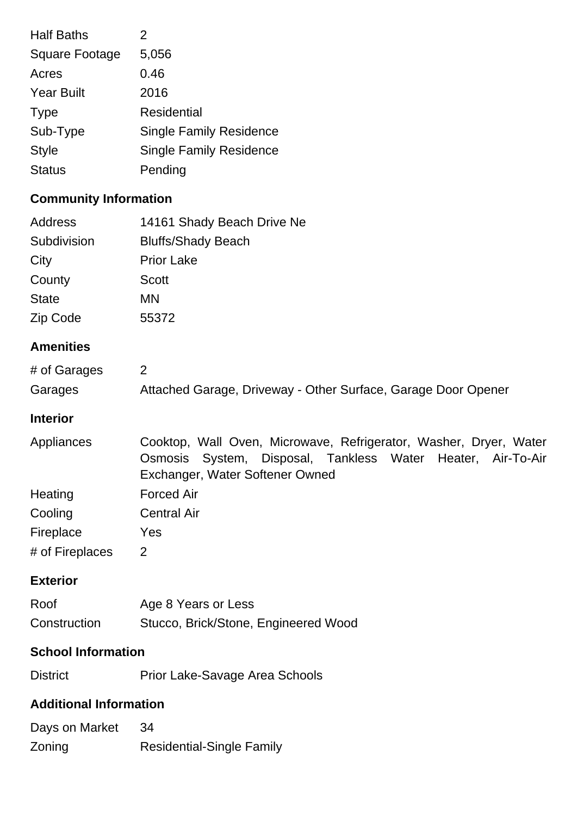| <b>Half Baths</b>     | 2                              |
|-----------------------|--------------------------------|
| <b>Square Footage</b> | 5,056                          |
| Acres                 | 0.46                           |
| <b>Year Built</b>     | 2016                           |
| <b>Type</b>           | <b>Residential</b>             |
| Sub-Type              | <b>Single Family Residence</b> |
| <b>Style</b>          | <b>Single Family Residence</b> |
| <b>Status</b>         | Pending                        |
|                       |                                |

# **Community Information**

| <b>Address</b>   | 14161 Shady Beach Drive Ne                                                                                                                                             |
|------------------|------------------------------------------------------------------------------------------------------------------------------------------------------------------------|
| Subdivision      | <b>Bluffs/Shady Beach</b>                                                                                                                                              |
| City             | <b>Prior Lake</b>                                                                                                                                                      |
| County           | <b>Scott</b>                                                                                                                                                           |
| <b>State</b>     | <b>MN</b>                                                                                                                                                              |
| Zip Code         | 55372                                                                                                                                                                  |
| <b>Amenities</b> |                                                                                                                                                                        |
| # of Garages     | $\overline{2}$                                                                                                                                                         |
| Garages          | Attached Garage, Driveway - Other Surface, Garage Door Opener                                                                                                          |
| <b>Interior</b>  |                                                                                                                                                                        |
| Appliances       | Cooktop, Wall Oven, Microwave, Refrigerator, Washer, Dryer, Water<br>Osmosis<br>System, Disposal, Tankless Water Heater, Air-To-Air<br>Exchanger, Water Softener Owned |
| Heating          | <b>Forced Air</b>                                                                                                                                                      |
| Cooling          | <b>Central Air</b>                                                                                                                                                     |
| Fireplace        | Yes                                                                                                                                                                    |
| # of Fireplaces  | $\overline{2}$                                                                                                                                                         |
| <b>Exterior</b>  |                                                                                                                                                                        |
| Roof             | Age 8 Years or Less                                                                                                                                                    |
| Construction     | Stucco, Brick/Stone, Engineered Wood                                                                                                                                   |
|                  |                                                                                                                                                                        |

### **School Information**

District Prior Lake-Savage Area Schools

## **Additional Information**

| Days on Market | -34                              |
|----------------|----------------------------------|
| Zoning         | <b>Residential-Single Family</b> |